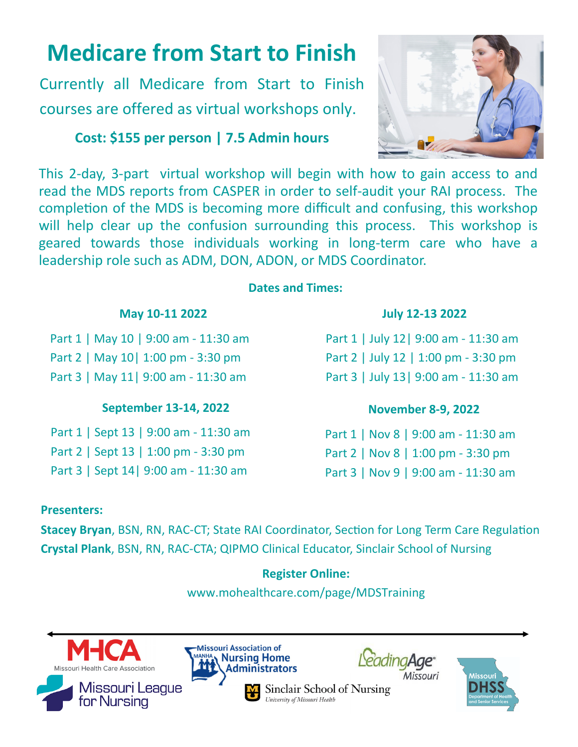# **Medicare from Start to Finish**

Currently all Medicare from Start to Finish courses are offered as virtual workshops only.

## **Cost: \$155 per person | 7.5 Admin hours**



This 2‐day, 3‐part virtual workshop will begin with how to gain access to and read the MDS reports from CASPER in order to self‐audit your RAI process. The completion of the MDS is becoming more difficult and confusing, this workshop will help clear up the confusion surrounding this process. This workshop is geared towards those individuals working in long‐term care who have a leadership role such as ADM, DON, ADON, or MDS Coordinator.

### **Dates and Times:**

## **May 10-11 2022**

Part 1 | May 10 | 9:00 am ‐ 11:30 am Part 2 | May 10| 1:00 pm ‐ 3:30 pm Part 3 | May 11| 9:00 am - 11:30 am

## **September 13-14, 2022**

Part 1 | Sept 13 | 9:00 am ‐ 11:30 am Part 2 | Sept 13 | 1:00 pm ‐ 3:30 pm Part 3 | Sept 14| 9:00 am - 11:30 am

## **July 12-13 2022**

Part 1 | July 12| 9:00 am ‐ 11:30 am Part 2 | July 12 | 1:00 pm ‐ 3:30 pm Part 3 | July 13| 9:00 am - 11:30 am

## **November 8-9, 2022**

Part 1 | Nov 8 | 9:00 am ‐ 11:30 am Part 2 | Nov 8 | 1:00 pm ‐ 3:30 pm Part 3 | Nov 9 | 9:00 am - 11:30 am

## **Presenters:**

**Stacey Bryan, BSN, RN, RAC-CT; State RAI Coordinator, Section for Long Term Care Regulation Crystal Plank**, BSN, RN, RAC‐CTA; QIPMO Clinical Educator, Sinclair School of Nursing

## **Register Online:**

www[.mohealthcare.com/page/](https://www.mohealthcare.com/page/MDSTraining)MDSTraining